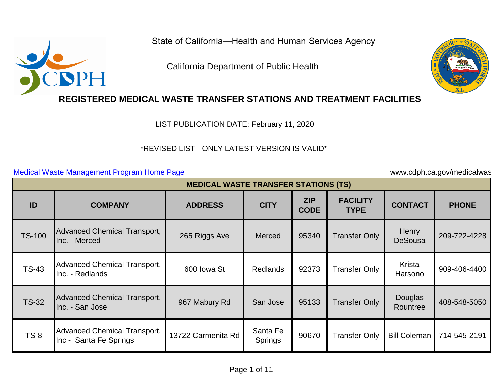State of California—Health and Human Services Agency

California Department of Public Health



## **REGISTERED MEDICAL WASTE TRANSFER STATIONS AND TREATMENT FACILITIES**

LIST PUBLICATION DATE: February 11, 2020

## \*REVISED LIST - ONLY LATEST VERSION IS VALID\* \*REVISED LIST - ONLY LATEST VERSION IS VALID\*<br>[Medical Waste Management Program Home Page](http://www.cdph.ca.gov/medicalwaste) www.cdph.ca.gov/medicalwas

|               | <b>MEDICAL WASTE TRANSFER STATIONS (TS)</b>                   |                    |                            |                           |                                |                         |              |  |  |  |  |
|---------------|---------------------------------------------------------------|--------------------|----------------------------|---------------------------|--------------------------------|-------------------------|--------------|--|--|--|--|
| ID            | <b>COMPANY</b>                                                | <b>ADDRESS</b>     | <b>CITY</b>                | <b>ZIP</b><br><b>CODE</b> | <b>FACILITY</b><br><b>TYPE</b> | <b>CONTACT</b>          | <b>PHONE</b> |  |  |  |  |
| <b>TS-100</b> | Advanced Chemical Transport,<br>Inc. - Merced                 | 265 Riggs Ave      | Merced                     | 95340                     | <b>Transfer Only</b>           | Henry<br><b>DeSousa</b> | 209-722-4228 |  |  |  |  |
| <b>TS-43</b>  | <b>Advanced Chemical Transport,</b><br>Inc. - Redlands        | 600 Iowa St        | <b>Redlands</b>            | 92373                     | <b>Transfer Only</b>           | Krista<br>Harsono       | 909-406-4400 |  |  |  |  |
| <b>TS-32</b>  | <b>Advanced Chemical Transport,</b><br>Inc. - San Jose        | 967 Mabury Rd      | San Jose                   | 95133                     | <b>Transfer Only</b>           | Douglas<br>Rountree     | 408-548-5050 |  |  |  |  |
| $TS-8$        | <b>Advanced Chemical Transport,</b><br>Inc - Santa Fe Springs | 13722 Carmenita Rd | Santa Fe<br><b>Springs</b> | 90670                     | <b>Transfer Only</b>           | <b>Bill Coleman</b>     | 714-545-2191 |  |  |  |  |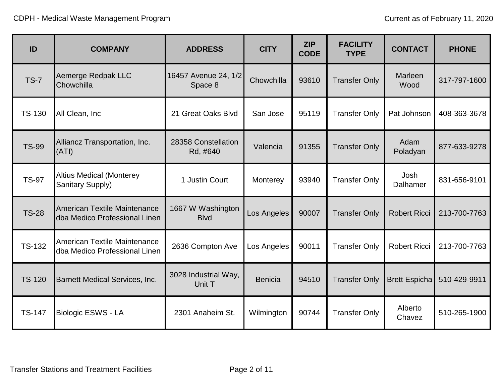| ID            | <b>COMPANY</b>                                                       | <b>ADDRESS</b>                   | <b>CITY</b>    | <b>ZIP</b><br><b>CODE</b> | <b>FACILITY</b><br><b>TYPE</b> | <b>CONTACT</b>         | <b>PHONE</b> |
|---------------|----------------------------------------------------------------------|----------------------------------|----------------|---------------------------|--------------------------------|------------------------|--------------|
| <b>TS-7</b>   | Aemerge Redpak LLC<br>Chowchilla                                     | 16457 Avenue 24, 1/2<br>Space 8  | Chowchilla     | 93610                     | <b>Transfer Only</b>           | <b>Marleen</b><br>Wood | 317-797-1600 |
| <b>TS-130</b> | All Clean, Inc                                                       | 21 Great Oaks Blvd               | San Jose       | 95119                     | <b>Transfer Only</b>           | Pat Johnson            | 408-363-3678 |
| <b>TS-99</b>  | Alliancz Transportation, Inc.<br>(ATI)                               | 28358 Constellation<br>Rd, #640  | Valencia       | 91355                     | <b>Transfer Only</b>           | Adam<br>Poladyan       | 877-633-9278 |
| <b>TS-97</b>  | <b>Altius Medical (Monterey</b><br>Sanitary Supply)                  | 1 Justin Court                   | Monterey       | 93940                     | <b>Transfer Only</b>           | Josh<br>Dalhamer       | 831-656-9101 |
| <b>TS-28</b>  | American Textile Maintenance<br>dba Medico Professional Linen        | 1667 W Washington<br><b>Blvd</b> | Los Angeles    | 90007                     | <b>Transfer Only</b>           | <b>Robert Ricci</b>    | 213-700-7763 |
| <b>TS-132</b> | <b>American Textile Maintenance</b><br>dba Medico Professional Linen | 2636 Compton Ave                 | Los Angeles    | 90011                     | <b>Transfer Only</b>           | <b>Robert Ricci</b>    | 213-700-7763 |
| <b>TS-120</b> | <b>Barnett Medical Services, Inc.</b>                                | 3028 Industrial Way,<br>Unit T   | <b>Benicia</b> | 94510                     | <b>Transfer Only</b>           | <b>Brett Espicha</b>   | 510-429-9911 |
| <b>TS-147</b> | <b>Biologic ESWS - LA</b>                                            | 2301 Anaheim St.                 | Wilmington     | 90744                     | <b>Transfer Only</b>           | Alberto<br>Chavez      | 510-265-1900 |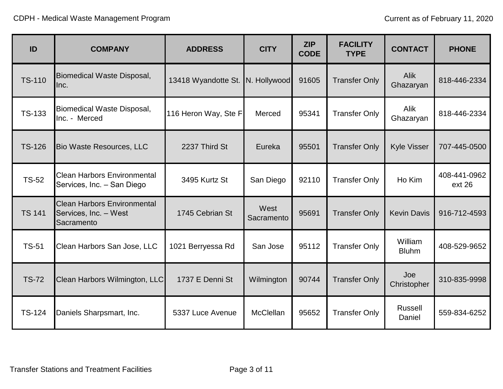| ID            | <b>COMPANY</b>                                                            | <b>ADDRESS</b>       | <b>CITY</b>        | <b>ZIP</b><br><b>CODE</b> | <b>FACILITY</b><br><b>TYPE</b> | <b>CONTACT</b>           | <b>PHONE</b>           |
|---------------|---------------------------------------------------------------------------|----------------------|--------------------|---------------------------|--------------------------------|--------------------------|------------------------|
| <b>TS-110</b> | Biomedical Waste Disposal,<br>lnc.                                        | 13418 Wyandotte St.  | N. Hollywood       | 91605                     | <b>Transfer Only</b>           | <b>Alik</b><br>Ghazaryan | 818-446-2334           |
| <b>TS-133</b> | <b>Biomedical Waste Disposal,</b><br>Inc. - Merced                        | 116 Heron Way, Ste F | Merced             | 95341                     | <b>Transfer Only</b>           | <b>Alik</b><br>Ghazaryan | 818-446-2334           |
| <b>TS-126</b> | <b>Bio Waste Resources, LLC</b>                                           | 2237 Third St        | Eureka             | 95501                     | <b>Transfer Only</b>           | <b>Kyle Visser</b>       | 707-445-0500           |
| <b>TS-52</b>  | <b>Clean Harbors Environmental</b><br>Services, Inc. - San Diego          | 3495 Kurtz St        | San Diego          | 92110                     | <b>Transfer Only</b>           | Ho Kim                   | 408-441-0962<br>ext 26 |
| <b>TS 141</b> | <b>Clean Harbors Environmental</b><br>Services, Inc. - West<br>Sacramento | 1745 Cebrian St      | West<br>Sacramento | 95691                     | <b>Transfer Only</b>           | <b>Kevin Davis</b>       | 916-712-4593           |
| <b>TS-51</b>  | Clean Harbors San Jose, LLC                                               | 1021 Berryessa Rd    | San Jose           | 95112                     | <b>Transfer Only</b>           | William<br><b>Bluhm</b>  | 408-529-9652           |
| <b>TS-72</b>  | Clean Harbors Wilmington, LLC                                             | 1737 E Denni St      | Wilmington         | 90744                     | <b>Transfer Only</b>           | Joe<br>Christopher       | 310-835-9998           |
| <b>TS-124</b> | Daniels Sharpsmart, Inc.                                                  | 5337 Luce Avenue     | <b>McClellan</b>   | 95652                     | <b>Transfer Only</b>           | Russell<br>Daniel        | 559-834-6252           |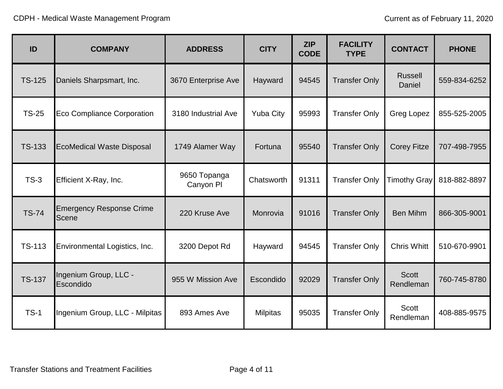| ID            | <b>COMPANY</b>                           | <b>ADDRESS</b>            | <b>CITY</b>      | <b>ZIP</b><br><b>CODE</b> | <b>FACILITY</b><br><b>TYPE</b> | <b>CONTACT</b>            | <b>PHONE</b> |
|---------------|------------------------------------------|---------------------------|------------------|---------------------------|--------------------------------|---------------------------|--------------|
| <b>TS-125</b> | Daniels Sharpsmart, Inc.                 | 3670 Enterprise Ave       | Hayward          | 94545                     | <b>Transfer Only</b>           | <b>Russell</b><br>Daniel  | 559-834-6252 |
| <b>TS-25</b>  | <b>Eco Compliance Corporation</b>        | 3180 Industrial Ave       | <b>Yuba City</b> | 95993                     | <b>Transfer Only</b>           | <b>Greg Lopez</b>         | 855-525-2005 |
| <b>TS-133</b> | <b>EcoMedical Waste Disposal</b>         | 1749 Alamer Way           | Fortuna          | 95540                     | <b>Transfer Only</b>           | <b>Corey Fitze</b>        | 707-498-7955 |
| $TS-3$        | Efficient X-Ray, Inc.                    | 9650 Topanga<br>Canyon PI | Chatsworth       | 91311                     | <b>Transfer Only</b>           | <b>Timothy Gray</b>       | 818-882-8897 |
| <b>TS-74</b>  | <b>Emergency Response Crime</b><br>Scene | 220 Kruse Ave             | Monrovia         | 91016                     | <b>Transfer Only</b>           | <b>Ben Mihm</b>           | 866-305-9001 |
| TS-113        | Environmental Logistics, Inc.            | 3200 Depot Rd             | Hayward          | 94545                     | <b>Transfer Only</b>           | <b>Chris Whitt</b>        | 510-670-9901 |
| <b>TS-137</b> | Ingenium Group, LLC -<br>Escondido       | 955 W Mission Ave         | Escondido        | 92029                     | <b>Transfer Only</b>           | <b>Scott</b><br>Rendleman | 760-745-8780 |
| $TS-1$        | Ingenium Group, LLC - Milpitas           | 893 Ames Ave              | <b>Milpitas</b>  | 95035                     | <b>Transfer Only</b>           | Scott<br>Rendleman        | 408-885-9575 |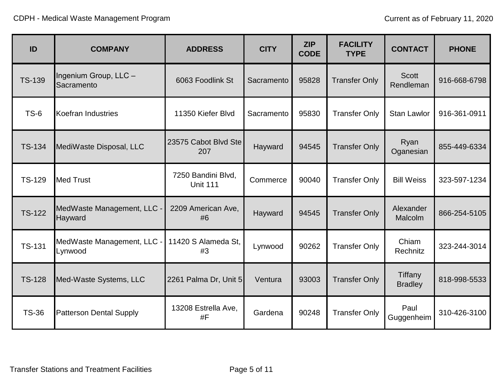| ID            | <b>COMPANY</b>                        | <b>ADDRESS</b>                        | <b>CITY</b> | <b>ZIP</b><br><b>CODE</b> | <b>FACILITY</b><br><b>TYPE</b> | <b>CONTACT</b>              | <b>PHONE</b> |
|---------------|---------------------------------------|---------------------------------------|-------------|---------------------------|--------------------------------|-----------------------------|--------------|
| <b>TS-139</b> | Ingenium Group, LLC -<br>Sacramento   | 6063 Foodlink St                      | Sacramento  | 95828                     | <b>Transfer Only</b>           | <b>Scott</b><br>Rendleman   | 916-668-6798 |
| $TS-6$        | <b>Koefran Industries</b>             | 11350 Kiefer Blvd                     | Sacramento  | 95830                     | <b>Transfer Only</b>           | <b>Stan Lawlor</b>          | 916-361-0911 |
| <b>TS-134</b> | MediWaste Disposal, LLC               | 23575 Cabot Blvd Ste<br>207           | Hayward     | 94545                     | <b>Transfer Only</b>           | Ryan<br>Oganesian           | 855-449-6334 |
| <b>TS-129</b> | <b>Med Trust</b>                      | 7250 Bandini Blvd,<br><b>Unit 111</b> | Commerce    | 90040                     | <b>Transfer Only</b>           | <b>Bill Weiss</b>           | 323-597-1234 |
| <b>TS-122</b> | MedWaste Management, LLC -<br>Hayward | 2209 American Ave,<br>#6              | Hayward     | 94545                     | <b>Transfer Only</b>           | Alexander<br><b>Malcolm</b> | 866-254-5105 |
| <b>TS-131</b> | MedWaste Management, LLC -<br>Lynwood | 11420 S Alameda St,<br>#3             | Lynwood     | 90262                     | <b>Transfer Only</b>           | Chiam<br>Rechnitz           | 323-244-3014 |
| <b>TS-128</b> | Med-Waste Systems, LLC                | 2261 Palma Dr, Unit 5                 | Ventura     | 93003                     | <b>Transfer Only</b>           | Tiffany<br><b>Bradley</b>   | 818-998-5533 |
| <b>TS-36</b>  | <b>Patterson Dental Supply</b>        | 13208 Estrella Ave,<br>#F             | Gardena     | 90248                     | <b>Transfer Only</b>           | Paul<br>Guggenheim          | 310-426-3100 |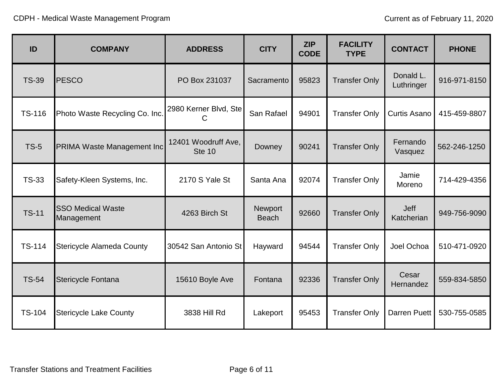| ID            | <b>COMPANY</b>                         | <b>ADDRESS</b>                       | <b>CITY</b>                    | <b>ZIP</b><br><b>CODE</b> | <b>FACILITY</b><br><b>TYPE</b> | <b>CONTACT</b>            | <b>PHONE</b> |
|---------------|----------------------------------------|--------------------------------------|--------------------------------|---------------------------|--------------------------------|---------------------------|--------------|
| <b>TS-39</b>  | <b>PESCO</b>                           | PO Box 231037                        | Sacramento                     | 95823                     | <b>Transfer Only</b>           | Donald L.<br>Luthringer   | 916-971-8150 |
| <b>TS-116</b> | Photo Waste Recycling Co. Inc.         | 2980 Kerner Blvd, Ste<br>С           | San Rafael                     | 94901                     | <b>Transfer Only</b>           | <b>Curtis Asano</b>       | 415-459-8807 |
| <b>TS-5</b>   | <b>PRIMA Waste Management Incl</b>     | 12401 Woodruff Ave,<br><b>Ste 10</b> | Downey                         | 90241                     | <b>Transfer Only</b>           | Fernando<br>Vasquez       | 562-246-1250 |
| <b>TS-33</b>  | Safety-Kleen Systems, Inc.             | 2170 S Yale St                       | Santa Ana                      | 92074                     | <b>Transfer Only</b>           | Jamie<br>Moreno           | 714-429-4356 |
| <b>TS-11</b>  | <b>SSO Medical Waste</b><br>Management | 4263 Birch St                        | <b>Newport</b><br><b>Beach</b> | 92660                     | <b>Transfer Only</b>           | <b>Jeff</b><br>Katcherian | 949-756-9090 |
| <b>TS-114</b> | <b>Stericycle Alameda County</b>       | 30542 San Antonio St                 | Hayward                        | 94544                     | <b>Transfer Only</b>           | Joel Ochoa                | 510-471-0920 |
| <b>TS-54</b>  | <b>Stericycle Fontana</b>              | 15610 Boyle Ave                      | Fontana                        | 92336                     | <b>Transfer Only</b>           | Cesar<br>Hernandez        | 559-834-5850 |
| <b>TS-104</b> | <b>Stericycle Lake County</b>          | 3838 Hill Rd                         | Lakeport                       | 95453                     | <b>Transfer Only</b>           | Darren Puett              | 530-755-0585 |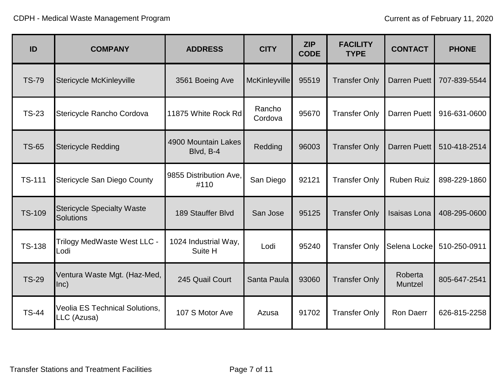| ID            | <b>COMPANY</b>                                        | <b>ADDRESS</b>                   | <b>CITY</b>          | <b>ZIP</b><br><b>CODE</b> | <b>FACILITY</b><br><b>TYPE</b> | <b>CONTACT</b>      | <b>PHONE</b> |
|---------------|-------------------------------------------------------|----------------------------------|----------------------|---------------------------|--------------------------------|---------------------|--------------|
| <b>TS-79</b>  | <b>Stericycle McKinleyville</b>                       | 3561 Boeing Ave                  | <b>McKinleyville</b> | 95519                     | <b>Transfer Only</b>           | Darren Puett        | 707-839-5544 |
| <b>TS-23</b>  | Stericycle Rancho Cordova                             | 11875 White Rock Rd              | Rancho<br>Cordova    | 95670                     | <b>Transfer Only</b>           | Darren Puett        | 916-631-0600 |
| <b>TS-65</b>  | <b>Stericycle Redding</b>                             | 4900 Mountain Lakes<br>Blvd, B-4 | Redding              | 96003                     | <b>Transfer Only</b>           | Darren Puett        | 510-418-2514 |
| <b>TS-111</b> | <b>Stericycle San Diego County</b>                    | 9855 Distribution Ave.<br>#110   | San Diego            | 92121                     | <b>Transfer Only</b>           | <b>Ruben Ruiz</b>   | 898-229-1860 |
| <b>TS-109</b> | <b>Stericycle Specialty Waste</b><br><b>Solutions</b> | 189 Stauffer Blvd                | San Jose             | 95125                     | <b>Transfer Only</b>           | <b>Isaisas Lona</b> | 408-295-0600 |
| <b>TS-138</b> | Trilogy MedWaste West LLC -<br>Lodi                   | 1024 Industrial Way,<br>Suite H  | Lodi                 | 95240                     | <b>Transfer Only</b>           | Selena Locke        | 510-250-0911 |
| <b>TS-29</b>  | Ventura Waste Mgt. (Haz-Med,<br>lnc)                  | 245 Quail Court                  | Santa Paula          | 93060                     | <b>Transfer Only</b>           | Roberta<br>Muntzel  | 805-647-2541 |
| <b>TS-44</b>  | <b>Veolia ES Technical Solutions,</b><br>LLC (Azusa)  | 107 S Motor Ave                  | Azusa                | 91702                     | <b>Transfer Only</b>           | Ron Daerr           | 626-815-2258 |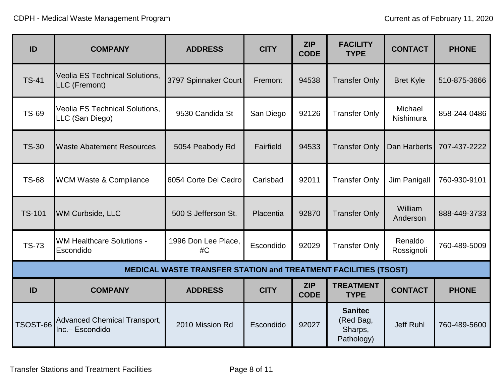| ID              | <b>COMPANY</b>                                           | <b>ADDRESS</b>                                                         | <b>CITY</b> | <b>ZIP</b><br><b>CODE</b> | <b>FACILITY</b><br><b>TYPE</b>                       | <b>CONTACT</b>        | <b>PHONE</b> |
|-----------------|----------------------------------------------------------|------------------------------------------------------------------------|-------------|---------------------------|------------------------------------------------------|-----------------------|--------------|
| <b>TS-41</b>    | <b>Veolia ES Technical Solutions,</b><br>LLC (Fremont)   | 3797 Spinnaker Court                                                   | Fremont     | 94538                     | <b>Transfer Only</b>                                 | <b>Bret Kyle</b>      | 510-875-3666 |
| <b>TS-69</b>    | <b>Veolia ES Technical Solutions,</b><br>LLC (San Diego) | 9530 Candida St                                                        | San Diego   | 92126                     | <b>Transfer Only</b>                                 | Michael<br>Nishimura  | 858-244-0486 |
| <b>TS-30</b>    | <b>Waste Abatement Resources</b>                         | 5054 Peabody Rd                                                        | Fairfield   | 94533                     | <b>Transfer Only</b>                                 | Dan Harberts          | 707-437-2222 |
| <b>TS-68</b>    | <b>WCM Waste &amp; Compliance</b>                        | 6054 Corte Del Cedro                                                   | Carlsbad    | 92011                     | <b>Transfer Only</b>                                 | Jim Panigall          | 760-930-9101 |
| <b>TS-101</b>   | <b>WM Curbside, LLC</b>                                  | 500 S Jefferson St.                                                    | Placentia   | 92870                     | <b>Transfer Only</b>                                 | William<br>Anderson   | 888-449-3733 |
| <b>TS-73</b>    | <b>WM Healthcare Solutions -</b><br>Escondido            | 1996 Don Lee Place,<br>#C                                              | Escondido   | 92029                     | <b>Transfer Only</b>                                 | Renaldo<br>Rossignoli | 760-489-5009 |
|                 |                                                          | <b>MEDICAL WASTE TRANSFER STATION and TREATMENT FACILITIES (TSOST)</b> |             |                           |                                                      |                       |              |
| ID              | <b>COMPANY</b>                                           | <b>ADDRESS</b>                                                         | <b>CITY</b> | <b>ZIP</b><br><b>CODE</b> | <b>TREATMENT</b><br><b>TYPE</b>                      | <b>CONTACT</b>        | <b>PHONE</b> |
| <b>TSOST-66</b> | <b>Advanced Chemical Transport,</b><br>Inc.- Escondido   | 2010 Mission Rd                                                        | Escondido   | 92027                     | <b>Sanitec</b><br>(Red Bag,<br>Sharps,<br>Pathology) | Jeff Ruhl             | 760-489-5600 |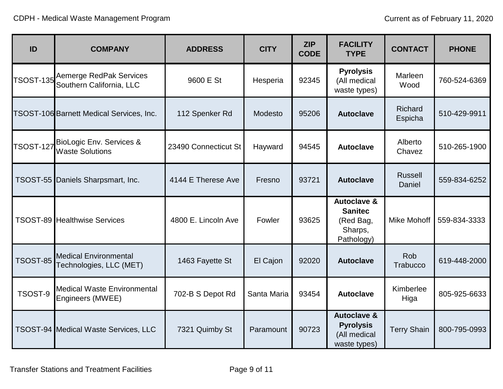| ID               | <b>COMPANY</b>                                             | <b>ADDRESS</b>       | <b>CITY</b> | <b>ZIP</b><br><b>CODE</b> | <b>FACILITY</b><br><b>TYPE</b>                                                 | <b>CONTACT</b>           | <b>PHONE</b> |
|------------------|------------------------------------------------------------|----------------------|-------------|---------------------------|--------------------------------------------------------------------------------|--------------------------|--------------|
| <b>TSOST-135</b> | <b>Aemerge RedPak Services</b><br>Southern California, LLC | 9600 E St            | Hesperia    | 92345                     | <b>Pyrolysis</b><br>(All medical<br>waste types)                               | Marleen<br>Wood          | 760-524-6369 |
|                  | <b>TSOST-106 Barnett Medical Services, Inc.</b>            | 112 Spenker Rd       | Modesto     | 95206                     | <b>Autoclave</b>                                                               | Richard<br>Espicha       | 510-429-9911 |
| <b>TSOST-127</b> | BioLogic Env. Services &<br><b>Waste Solutions</b>         | 23490 Connecticut St | Hayward     | 94545                     | <b>Autoclave</b>                                                               | Alberto<br>Chavez        | 510-265-1900 |
|                  | TSOST-55 Daniels Sharpsmart, Inc.                          | 4144 E Therese Ave   | Fresno      | 93721                     | <b>Autoclave</b>                                                               | <b>Russell</b><br>Daniel | 559-834-6252 |
|                  | <b>TSOST-89 Healthwise Services</b>                        | 4800 E. Lincoln Ave  | Fowler      | 93625                     | <b>Autoclave &amp;</b><br><b>Sanitec</b><br>(Red Bag,<br>Sharps,<br>Pathology) | Mike Mohoff              | 559-834-3333 |
| <b>TSOST-85</b>  | <b>Medical Environmental</b><br>Technologies, LLC (MET)    | 1463 Fayette St      | El Cajon    | 92020                     | <b>Autoclave</b>                                                               | Rob<br>Trabucco          | 619-448-2000 |
| TSOST-9          | <b>Medical Waste Environmental</b><br>Engineers (MWEE)     | 702-B S Depot Rd     | Santa Maria | 93454                     | <b>Autoclave</b>                                                               | Kimberlee<br>Higa        | 805-925-6633 |
|                  | <b>TSOST-94 Medical Waste Services, LLC</b>                | 7321 Quimby St       | Paramount   | 90723                     | <b>Autoclave &amp;</b><br><b>Pyrolysis</b><br>(All medical<br>waste types)     | <b>Terry Shain</b>       | 800-795-0993 |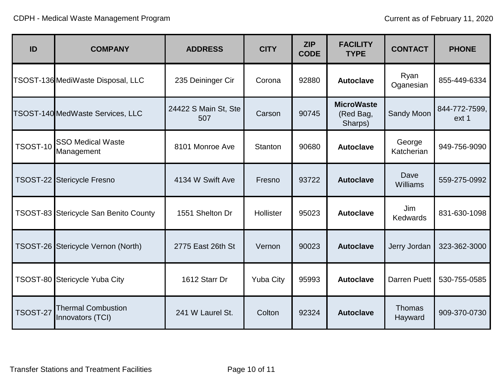| ID              | <b>COMPANY</b>                                | <b>ADDRESS</b>              | <b>CITY</b>      | <b>ZIP</b><br><b>CODE</b> | <b>FACILITY</b><br><b>TYPE</b>            | <b>CONTACT</b>           | <b>PHONE</b>           |
|-----------------|-----------------------------------------------|-----------------------------|------------------|---------------------------|-------------------------------------------|--------------------------|------------------------|
|                 | TSOST-136 MediWaste Disposal, LLC             | 235 Deininger Cir           | Corona           | 92880                     | <b>Autoclave</b>                          | Ryan<br>Oganesian        | 855-449-6334           |
|                 | TSOST-140 MedWaste Services, LLC              | 24422 S Main St, Ste<br>507 | Carson           | 90745                     | <b>MicroWaste</b><br>(Red Bag,<br>Sharps) | Sandy Moon               | 844-772-7599,<br>ext 1 |
| <b>TSOST-10</b> | <b>SSO Medical Waste</b><br>Management        | 8101 Monroe Ave             | Stanton          | 90680                     | <b>Autoclave</b>                          | George<br>Katcherian     | 949-756-9090           |
|                 | TSOST-22 Stericycle Fresno                    | 4134 W Swift Ave            | Fresno           | 93722                     | <b>Autoclave</b>                          | Dave<br>Williams         | 559-275-0992           |
|                 | TSOST-83 Stericycle San Benito County         | 1551 Shelton Dr             | Hollister        | 95023                     | <b>Autoclave</b>                          | Jim<br><b>Kedwards</b>   | 831-630-1098           |
|                 | TSOST-26 Stericycle Vernon (North)            | 2775 East 26th St           | Vernon           | 90023                     | <b>Autoclave</b>                          | Jerry Jordan             | 323-362-3000           |
|                 | TSOST-80 Stericycle Yuba City                 | 1612 Starr Dr               | <b>Yuba City</b> | 95993                     | <b>Autoclave</b>                          | <b>Darren Puett</b>      | 530-755-0585           |
| <b>TSOST-27</b> | <b>Thermal Combustion</b><br>Innovators (TCI) | 241 W Laurel St.            | Colton           | 92324                     | <b>Autoclave</b>                          | <b>Thomas</b><br>Hayward | 909-370-0730           |